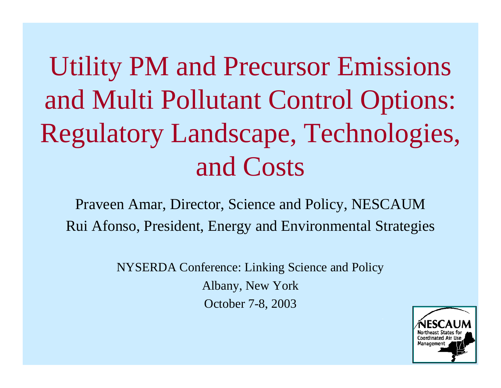# Utility PM and Precursor Emissions and Multi Pollutant Control Options: Regulatory Landscape, Technologies, and Costs

Praveen Amar, Director, Science and Policy, NESCAUM Rui Afonso, President, Energy and Environmental Strategies

> NYSERDA Conference: Linking Science and Policy Albany, New York October 7-8, 2003

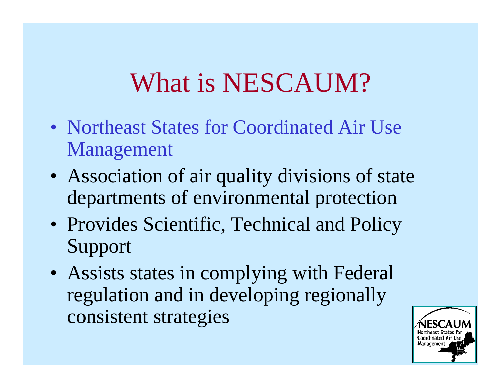# What is NESCAUM?

- Northeast States for Coordinated Air Use Management
- Association of air quality divisions of state departments of environmental protection
- Provides Scientific, Technical and Policy Support
- Assists states in complying with Federal regulation and in developing regionally consistent strategies

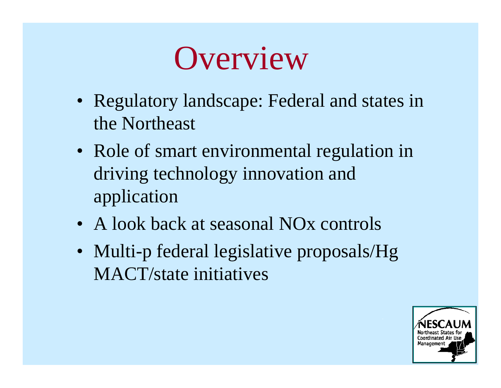

- Regulatory landscape: Federal and states in the Northeast
- Role of smart environmental regulation in driving technology innovation and application
- A look back at seasonal NO<sub>x</sub> controls
- Multi-p federal legislative proposals/Hg MACT/state initiatives

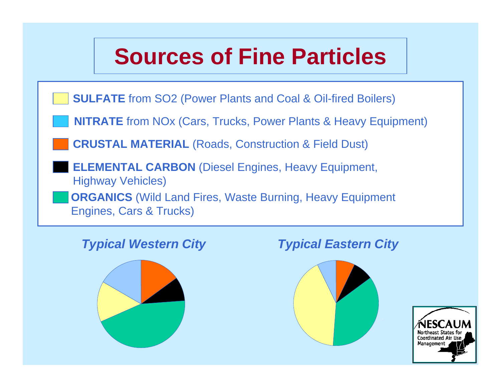## **Sources of Fine Particles**

**SULFATE** from SO2 (Power Plants and Coal & Oil-fired Boilers)

**NITRATE** from NOx (Cars, Trucks, Power Plants & Heavy Equipment)

**CRUSTAL MATERIAL** (Roads, Construction & Field Dust)

**ELEMENTAL CARBON** (Diesel Engines, Heavy Equipment, Highway Vehicles)

**ORGANICS** (Wild Land Fires, Waste Burning, Heavy Equipment Engines, Cars & Trucks)



#### *Typical Western City Typical Eastern City*



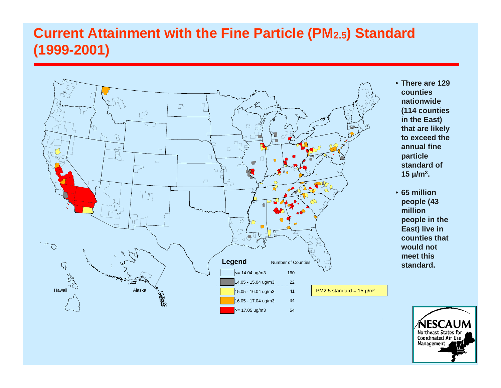### **Current Attainment with the Fine Particle (PM2.5) Standard (1999-2001)**



- **There are 129 counties nationwide (114 counties in the East) that are likely to exceed the annual fine particle standard of 15 µ/m3.**
- **65 million people (43 million people in the East) live in counties that would not meet this standard.**

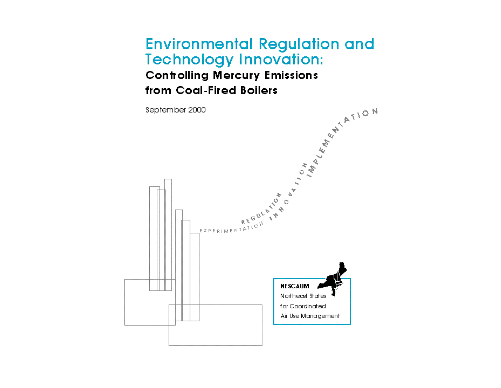#### **Environmental Regulation and Technology Innovation: Controlling Mercury Emissions** from Coal-Fired Boilers

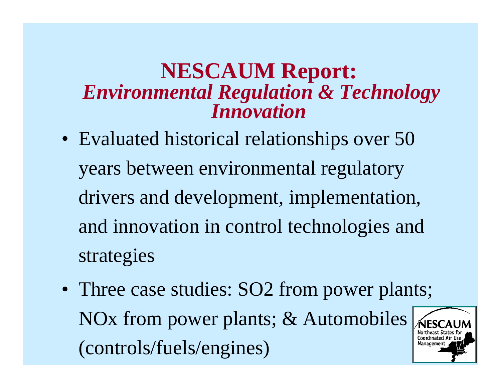## **NESCAUM Report:** *Environmental Regulation & Technology Innovation*

- Evaluated historical relationships over 50 years between environmental regulatory drivers and development, implementation, and innovation in control technologies and strategies
- Three case studies: SO2 from power plants; NOx from power plants; & Automobiles **Coordinated Ai** (controls/fuels/engines) Manageme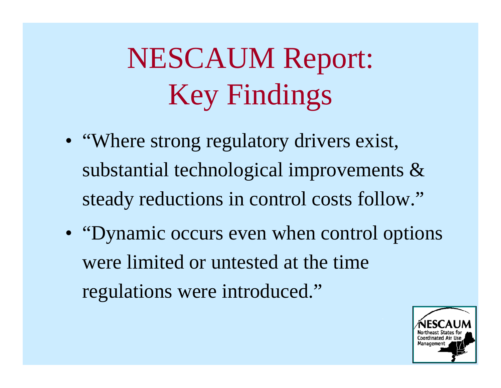# NESCAUM Report: Key Findings

- "Where strong regulatory drivers exist, substantial technological improvements & steady reductions in control costs follow."
- "Dynamic occurs even when control options" were limited or untested at the time regulations were introduced."

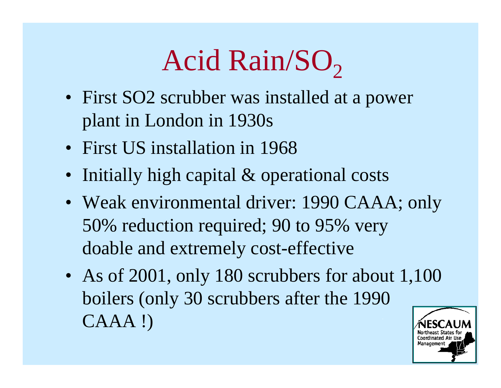### Acid Rain/SO 2

- First SO2 scrubber was installed at a power plant in London in 1930s
- First US installation in 1968
- Initially high capital & operational costs
- Weak environmental driver: 1990 CAAA; only 50% reduction required; 90 to 95% very doable and extremely cost-effective
- As of 2001, only 180 scrubbers for about 1,100 boilers (only 30 scrubbers after the 1990 CAAA !)

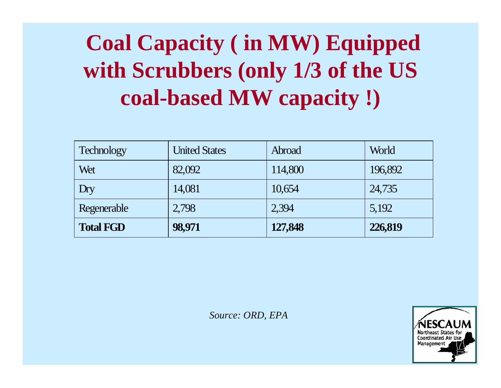## **Coal Capacity ( in MW) Equipped with Scrubbers (only 1/3 of the US coal-based MW capacity !)**

| <b>Technology</b> | <b>United States</b> | Abroad  | World   |
|-------------------|----------------------|---------|---------|
| Wet               | 82,092               | 114,800 | 196,892 |
| Dry               | 14,081               | 10,654  | 24,735  |
| Regenerable       | 2,798                | 2,394   | 5,192   |
| <b>Total FGD</b>  | 98,971               | 127,848 | 226,819 |

*Source: ORD, EPA*

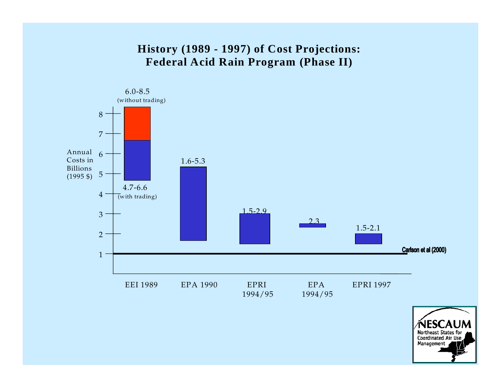#### **History (1989 - 1997) of Cost Projections: Federal Acid Rain Program (Phase II)**



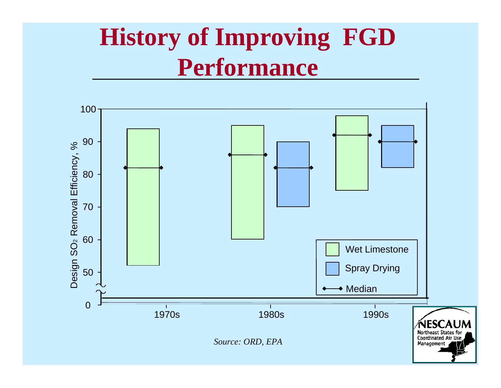# **History of Improving FGD Performance**

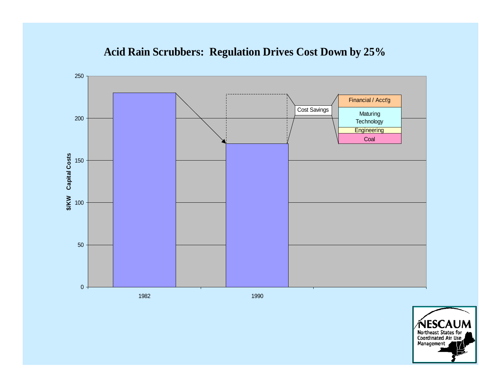



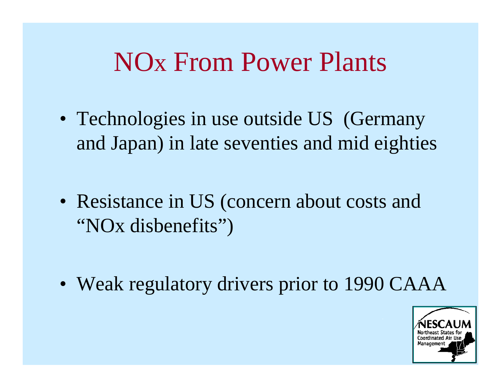## NOx From Power Plants

- Technologies in use outside US (Germany and Japan) in late seventies and mid eighties
- Resistance in US (concern about costs and "NOx disbenefits")
- Weak regulatory drivers prior to 1990 CAAA

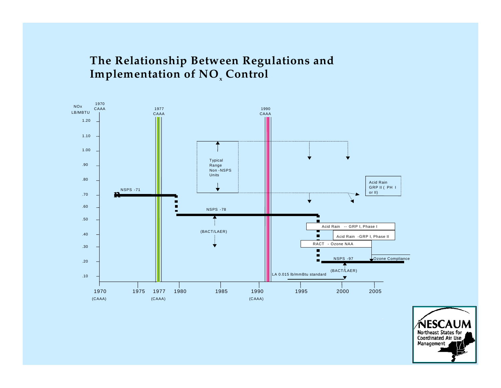#### **The Relationship Between Regulations and Implementation of NO<sub>x</sub> Control**



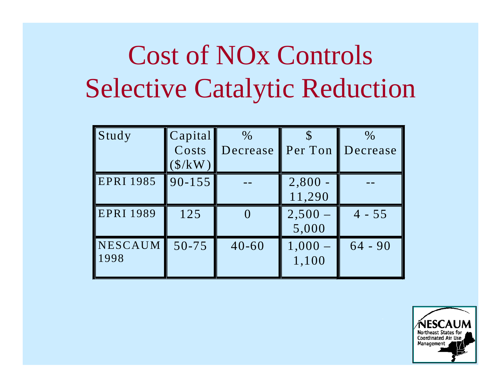# Cost of NOx Controls Selective Catalytic Reduction

| Study            | Capital                       | $\%$      |           | $\%$      |
|------------------|-------------------------------|-----------|-----------|-----------|
|                  | Costs                         | Decrease  | Per Ton   | Decrease  |
|                  | $(\frac{\text{S}}{\text{K}})$ |           |           |           |
| <b>EPRI 1985</b> | $90 - 155$                    |           | $2,800 -$ |           |
|                  |                               |           | 11,290    |           |
| <b>EPRI 1989</b> | 125                           |           | $2,500 -$ | $4 - 55$  |
|                  |                               |           | 5,000     |           |
| NESCAUM          | $50 - 75$                     | $40 - 60$ | $1,000 -$ | $64 - 90$ |
| 1998             |                               |           | 1,100     |           |
|                  |                               |           |           |           |

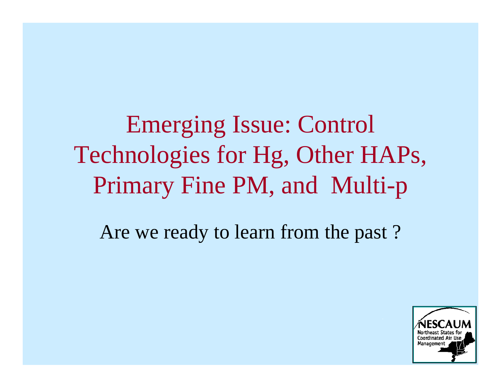Emerging Issue: Control Technologies for Hg, Other HAPs, Primary Fine PM, and Multi-p

Are we ready to learn from the past ?

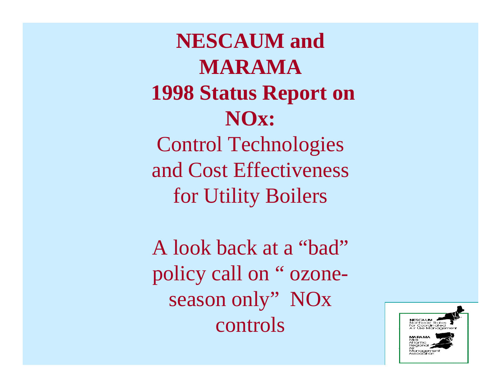**NESCAUM and MARAMA 1998 Status Report on NOx:** Control Technologies and Cost Effectiveness for Utility Boilers

A look back at a "bad" policy call on " ozoneseason only" NO<sub>x</sub> controls

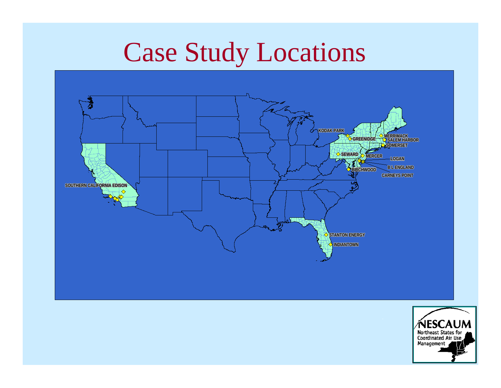# Case Study Locations



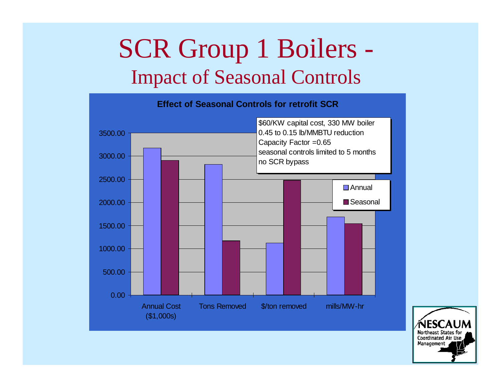## SCR Group 1 Boilers Impact of Seasonal Controls



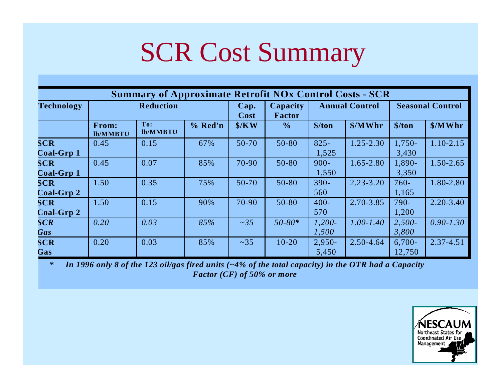# SCR Cost Summary

| <b>Summary of Approximate Retrofit NOx Control Costs - SCR</b> |                          |                 |              |                    |                       |                                       |                         |                    |               |
|----------------------------------------------------------------|--------------------------|-----------------|--------------|--------------------|-----------------------|---------------------------------------|-------------------------|--------------------|---------------|
| <b>Technology</b>                                              | <b>Reduction</b>         |                 | Cap.<br>Cost | Capacity<br>Factor | <b>Annual Control</b> |                                       | <b>Seasonal Control</b> |                    |               |
|                                                                | From:<br><b>lb/MMBTU</b> | To:<br>lb/MMBTU | % Red'n      | $\frac{1}{2}$ /KW  | $\frac{0}{0}$         | $\frac{\sinh(\theta)}{\sinh(\theta)}$ | \$/MWhr                 | \$/ton             | \$/MWhr       |
| <b>SCR</b><br>Coal-Grp 1                                       | 0.45                     | 0.15            | 67%          | 50-70              | 50-80                 | $825 -$<br>1,525                      | $1.25 - 2.30$           | 1,750-<br>3,430    | 1.10-2.15     |
| <b>SCR</b><br>Coal-Grp 1                                       | 0.45                     | 0.07            | 85%          | 70-90              | 50-80                 | $900 -$<br>1,550                      | $1.65 - 2.80$           | 1,890-<br>3,350    | $1.50 - 2.65$ |
| <b>SCR</b><br>Coal-Grp 2                                       | 1.50                     | 0.35            | 75%          | $50-70$            | $50 - 80$             | $390 -$<br>560                        | $2.23 - 3.20$           | $760 -$<br>1,165   | 1.80-2.80     |
| <b>SCR</b><br>Coal-Grp 2                                       | 1.50                     | 0.15            | 90%          | 70-90              | $50 - 80$             | $400 -$<br>570                        | $2.70 - 3.85$           | 790-<br>1,200      | $2.20 - 3.40$ |
| <b>SCR</b><br>Gas                                              | 0.20                     | 0.03            | 85%          | $\sim$ 35          | $50 - 80*$            | $1,200-$<br>1,500                     | $1.00 - 1.40$           | $2,500-$<br>3,800  | $0.90 - 1.30$ |
| <b>SCR</b><br>Gas                                              | 0.20                     | 0.03            | 85%          | $~1$ - 35          | $10 - 20$             | $2,950-$<br>5,450                     | 2.50-4.64               | $6,700-$<br>12,750 | $2.37 - 4.51$ |

*\* In 1996 only 8 of the 123 oil/gas fired units (~4% of the total capacity) in the OTR had a Capacity Factor (CF) of 50% or more* 

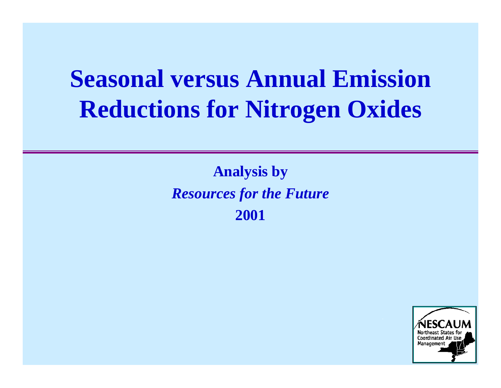# **Seasonal versus Annual Emission Reductions for Nitrogen Oxides**

**Analysis by** *Resources for the Future* **2001**

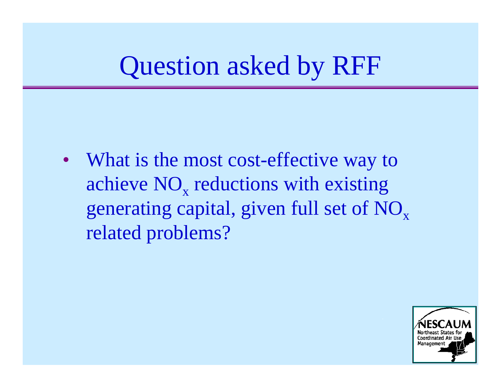## Question asked by RFF

• What is the most cost-effective way to achieve  $\rm NO_{x}$  reductions with existing generating capital, given full set of NO<sub>x</sub> related problems?

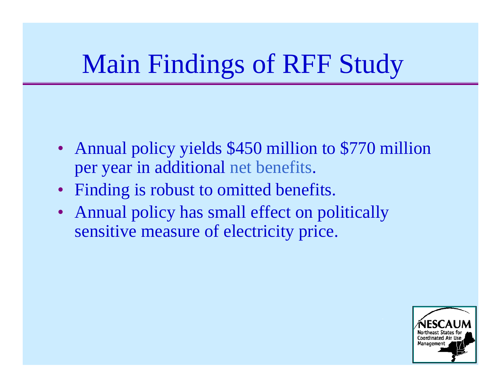# Main Findings of RFF Study

- Annual policy yields \$450 million to \$770 million per year in additional net benefits.
- Finding is robust to omitted benefits.
- Annual policy has small effect on politically sensitive measure of electricity price.

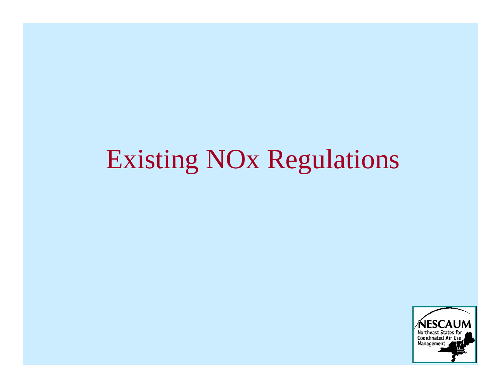# Existing NOx Regulations

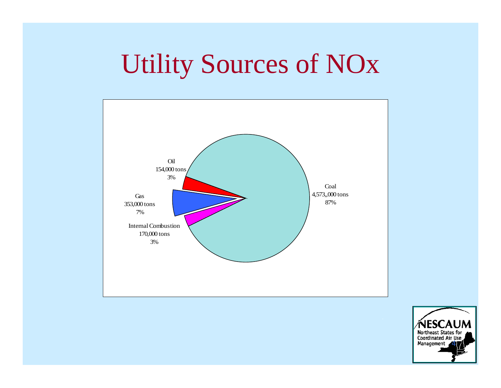# Utility Sources of NOx



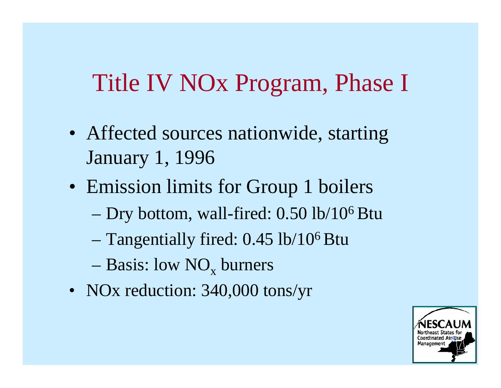## Title IV NOx Program, Phase I

- Affected sources nationwide, starting January 1, 1996
- Emission limits for Group 1 boilers
	- Dry bottom, wall-fired: 0.50 lb/106 Btu
	- Tangentially fired: 0.45 lb/106 Btu
	- $-$  Basis: low  $NO_x$  burners
- NOx reduction: 340,000 tons/yr

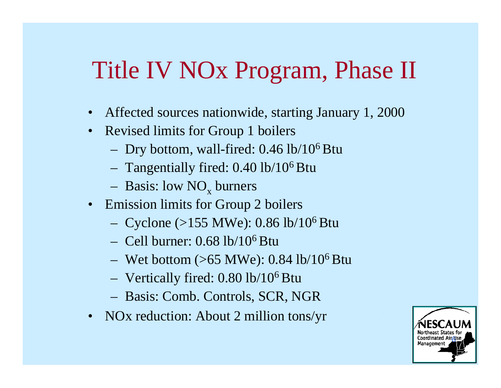## Title IV NOx Program, Phase II

- Affected sources nationwide, starting January 1, 2000
- Revised limits for Group 1 boilers
	- Dry bottom, wall-fired: 0.46 lb/106 Btu
	- $-$  Tangentially fired: 0.40 lb/10<sup>6</sup> Btu
	- $-$  Basis: low NO<sub>x</sub> burners
- Emission limits for Group 2 boilers
	- Cyclone (>155 MWe):  $0.86$  lb/ $10^6$  Btu
	- $-$  Cell burner: 0.68 lb/10<sup>6</sup> Btu
	- Wet bottom  $(>65 \text{ MWe})$ : 0.84 lb/10<sup>6</sup> Btu
	- Vertically fired: 0.80 lb/106 Btu
	- Basis: Comb. Controls, SCR, NGR
- NOx reduction: About 2 million tons/yr

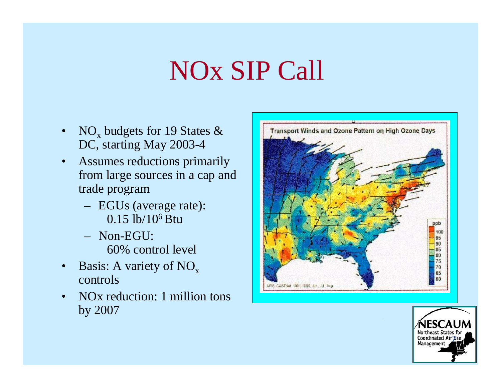# NOx SIP Call

- $\bullet$  $NO_x$  budgets for 19 States  $\&$ DC, starting May 2003-4
- $\bullet$  Assumes reductions primarily from large sources in a cap and trade program
	- EGUs (average rate): 0.15 lb/106 Btu
	- Non-EGU: 60% control level
- $\bullet$ Basis: A variety of  $NO_x$ controls
- $\bullet$  NOx reduction: 1 million tons by 2007



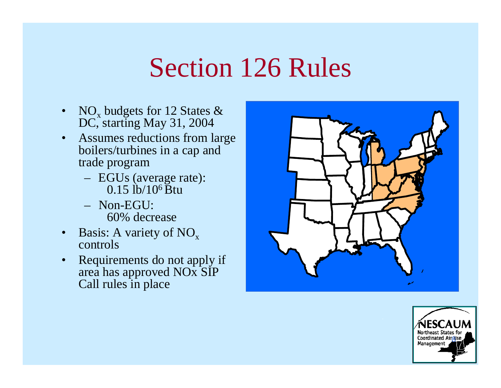## Section 126 Rules

- $\bullet$ •  $NO_x$  budgets for 12 States & DC, starting May 31, 2004
- $\bullet$  Assumes reductions from large boilers/turbines in a cap and trade program
	- EGUs (average rate):  $0.15$  lb/ $10^6$  Btu
	- Non-EGU:60% decrease
- $\bullet$ • Basis: A variety of  $NO_x$ controls
- $\bullet$  Requirements do not apply if area has approved NOx SIP Call rules in place



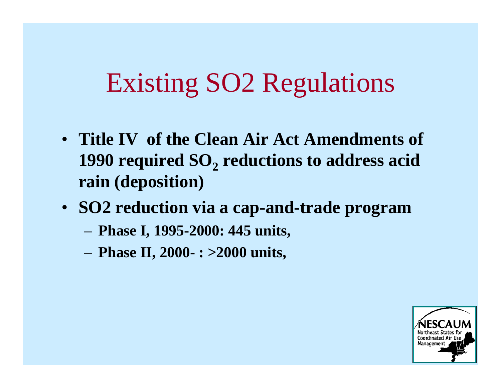# Existing SO2 Regulations

- **Title IV of the Clean Air Act Amendments of 1990 required SO <sup>2</sup>reductions to address acid rain (deposition)**
- **SO2 reduction via a cap-and-trade program** 
	- **Phase I, 1995-2000: 445 units,**
	- **Phase II, 2000- : >2000 units,**

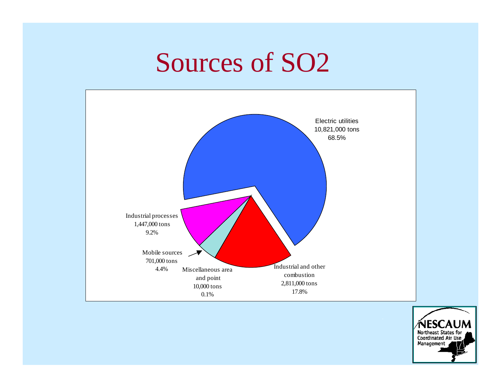# Sources of SO2



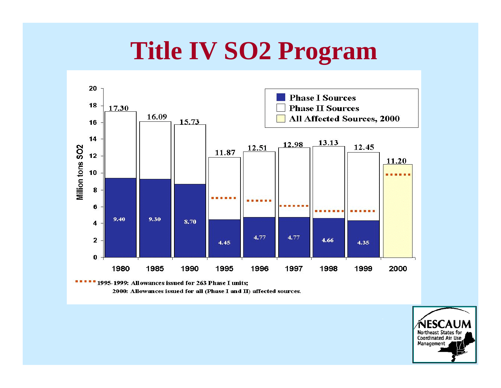## **Title IV SO2 Program**



1995-1999: Allowances issued for 263 Phase I units; 2000: Allowances issued for all (Phase I and II) affected sources.

> Northeast States for Coordinated Air Use Management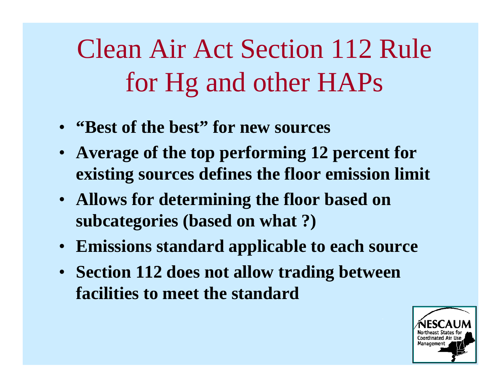# Clean Air Act Section 112 Rule for Hg and other HAPs

- **"Best of the best" for new sources**
- **Average of the top performing 12 percent for existing sources defines the floor emission limit**
- **Allows for determining the floor based on subcategories (based on what ?)**
- **Emissions standard applicable to each source**
- **Section 112 does not allow trading between facilities to meet the standard**

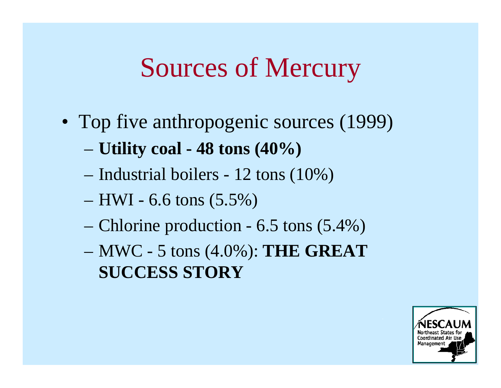## Sources of Mercury

- Top five anthropogenic sources (1999)
	- **Utility coal 48 tons (40%)**
	- Industrial boilers 12 tons (10%)
	- $-$  HWI 6.6 tons  $(5.5\%)$
	- Chlorine production 6.5 tons (5.4%)
	- MWC 5 tons (4.0%): **THE GREAT SUCCESS STORY**

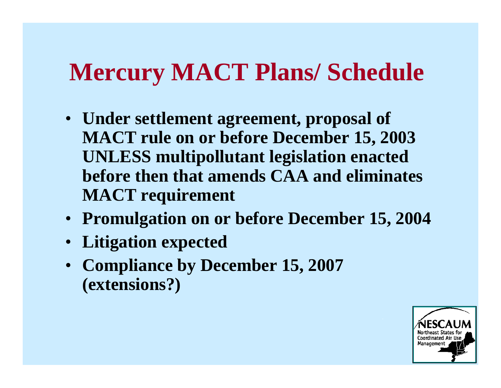## **Mercury MACT Plans/ Schedule**

- **Under settlement agreement, proposal of MACT rule on or before December 15, 2003 UNLESS multipollutant legislation enacted before then that amends CAA and eliminates MACT requirement**
- **Promulgation on or before December 15, 2004**
- **Litigation expected**
- **Compliance by December 15, 2007 (extensions?)**

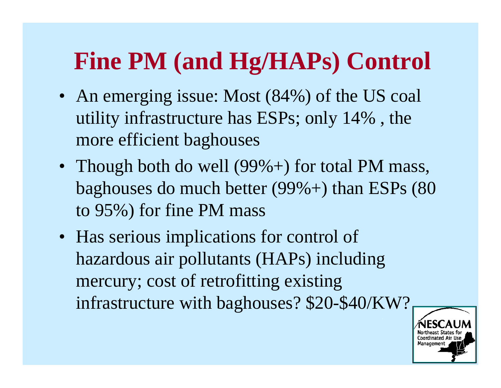# **Fine PM (and Hg/HAPs) Control**

- An emerging issue: Most (84%) of the US coal utility infrastructure has ESPs; only 14% , the more efficient baghouses
- Though both do well (99%+) for total PM mass, baghouses do much better (99%+) than ESPs (80 to 95%) for fine PM mass
- Has serious implications for control of hazardous air pollutants (HAPs) including mercury; cost of retrofitting existing infrastructure with baghouses? \$20-\$40/KW?

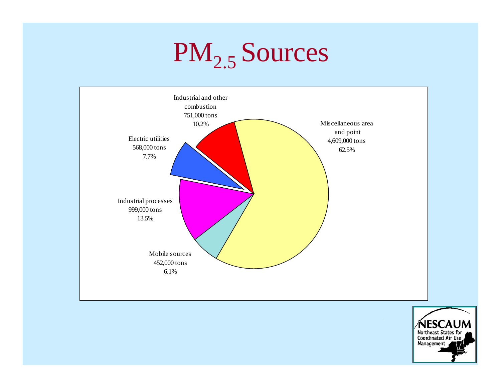# PM<sub>2.5</sub> Sources



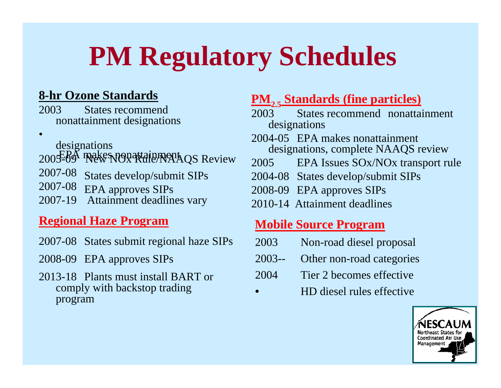# **PM Regulatory Schedules**

#### **8-hr Ozone Standards**

2003 States recommend nonattainment designations

- •
- 
- designations<br>
2005-09 Rew NOx Rule/NAAQS Review
- 2007-08 States develop/submit SIPs<br>2007-08 EPA approves SIPs
- EPA approves SIPs
- 2007-19 Attainment deadlines vary

#### **Regional Haze Program**

- 2007-08 States submit regional haze SIPs
- 2008-09 EPA approves SIPs
- 2013-18 Plants must install BART or comply with backstop trading program

#### **PM<sub>2.5</sub> Standards (fine particles)**

- 2003 States recommend nonattainment designations
- 2004-05 EPA makes nonattainment designations, complete NAAQS review
- 2005 EPA Issues SOx/NOx transport rule
- 2004-08 States develop/submit SIPs
- 2008-09 EPA approves SIPs
- 2010-14 Attainment deadlines

#### **Mobile Source Program**

- 2003 Non-road diesel proposal
- 2003-- Other non-road categories
- 2004 Tier 2 becomes effective
- HD diesel rules effective

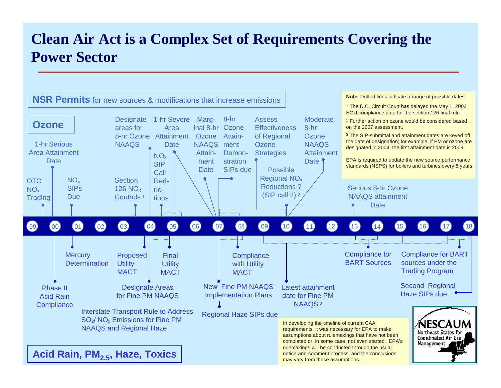### **Clean Air Act is a Complex Set of Requirements Covering the Power Sector**

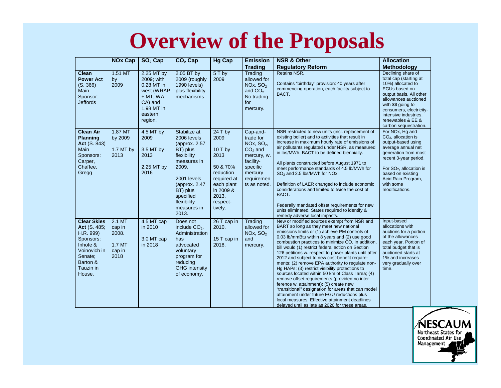## **Overview of the Proposals**

|                                                                                                                                        | <b>NOx Cap</b>                                        | SO <sub>2</sub> Cap                                                                                                | CO <sub>2</sub> Cap                                                                                                                                                                                | <b>Hg Cap</b>                                                                                                                            | <b>Emission</b>                                                                                                                               | <b>NSR &amp; Other</b>                                                                                                                                                                                                                                                                                                                                                                                                                                                                                                                                                                                                                                                                                                                                                                                                                                                        | <b>Allocation</b>                                                                                                                                                                                                                                             |
|----------------------------------------------------------------------------------------------------------------------------------------|-------------------------------------------------------|--------------------------------------------------------------------------------------------------------------------|----------------------------------------------------------------------------------------------------------------------------------------------------------------------------------------------------|------------------------------------------------------------------------------------------------------------------------------------------|-----------------------------------------------------------------------------------------------------------------------------------------------|-------------------------------------------------------------------------------------------------------------------------------------------------------------------------------------------------------------------------------------------------------------------------------------------------------------------------------------------------------------------------------------------------------------------------------------------------------------------------------------------------------------------------------------------------------------------------------------------------------------------------------------------------------------------------------------------------------------------------------------------------------------------------------------------------------------------------------------------------------------------------------|---------------------------------------------------------------------------------------------------------------------------------------------------------------------------------------------------------------------------------------------------------------|
|                                                                                                                                        |                                                       |                                                                                                                    |                                                                                                                                                                                                    |                                                                                                                                          | <b>Trading</b>                                                                                                                                | <b>Regulatory Reform</b>                                                                                                                                                                                                                                                                                                                                                                                                                                                                                                                                                                                                                                                                                                                                                                                                                                                      | <b>Methodology</b>                                                                                                                                                                                                                                            |
| <b>Clean</b><br><b>Power Act</b><br>(S. 366)<br>Main<br>Sponsor:<br><b>Jeffords</b>                                                    | $1.51$ MT<br>by<br>2009                               | 2.25 MT by<br>2009; with<br>0.28 MT in<br>west (WRAP<br>$+$ MT, WA,<br>CA) and<br>1.98 MT in<br>eastern<br>region. | 2.05 BT by<br>2009 (roughly<br>1990 levels)<br>plus flexibility<br>mechanisms.                                                                                                                     | $5T$ by<br>2009                                                                                                                          | Trading<br>allowed for<br>NOx, SO <sub>2</sub><br>and $CO2$ .<br>No trading<br>for<br>mercury.                                                | Retains NSR.<br>Contains "birthday" provision: 40 years after<br>commencing operation, each facility subject to<br>BACT.                                                                                                                                                                                                                                                                                                                                                                                                                                                                                                                                                                                                                                                                                                                                                      | Declining share of<br>total cap (starting at<br>10%) allocated to<br>EGUs based on<br>output basis. All other<br>allowances auctioned<br>with \$\$ going to<br>consumers, electricity-<br>intensive industries.<br>renewables & EE &<br>carbon sequestration. |
| <b>Clean Air</b><br><b>Planning</b><br><b>Act</b> (S. 843)<br>Main<br>Sponsors:<br>Carper,<br>Chaffee,<br>Gregg                        | 1.87 MT<br>by 2009<br>1.7 MT by<br>2013               | 4.5 MT by<br>2009<br>3.5 MT by<br>2013<br>2.25 MT by<br>2016                                                       | Stabilize at<br>2006 levels<br>(approx. 2.57)<br>BT) plus<br>flexibility<br>measures in<br>2009.<br>2001 levels<br>(approx. $2.47$<br>BT) plus<br>specified<br>flexibility<br>measures in<br>2013. | $24$ T by<br>2009<br>$10T$ by<br>2013<br>50 & 70%<br>reduction<br>required at<br>each plant<br>in 2009 &<br>2013,<br>respect-<br>tively. | Cap-and-<br>trade for<br>NOx, SO <sub>2</sub> ,<br>$CO2$ and<br>mercury, w.<br>facility-<br>specific<br>mercury<br>requiremen<br>ts as noted. | NSR restricted to new units (incl. replacement of<br>existing boiler) and to activities that result in<br>increase in maximum hourly rate of emissions of<br>air pollutants regulated under NSR, as measured<br>in lbs/MWh. BACT to be defined biennially.<br>All plants constructed before August 1971 to<br>meet performance standards of 4.5 lb/MWh for<br>SO <sub>2</sub> and 2.5 lbs/MWh for NOx.<br>Definition of LAER changed to include economic<br>considerations and limited to twice the cost of<br>BACT.<br>Federally mandated offset requirements for new<br>units eliminated. States required to identify &<br>remedy adverse local impacts.                                                                                                                                                                                                                    | For NO <sub>x</sub> , Hg and<br>$CO2$ , allocation is<br>output-based using<br>average annual net<br>generation from most<br>recent 3-year period.<br>For $SO2$ , allocation is<br>based on existing<br>Acid Rain Program,<br>with some<br>modifications.     |
| <b>Clear Skies</b><br>Act (S. 485;<br>H.R. 999)<br>Sponsors:<br>Inhofe &<br>Voinovich in<br>Senate:<br>Barton &<br>Tauzin in<br>House. | 2.1 MT<br>cap in<br>2008.<br>1.7 MT<br>cap in<br>2018 | 4.5 MT cap<br>in 2010<br>3.0 MT cap<br>in 2018                                                                     | Does not<br>include $CO2$ .<br>Administration<br>has<br>advocated<br>voluntary<br>program for<br>reducing<br><b>GHG</b> intensity<br>of economy.                                                   | 26 T cap in<br>2010.<br>15 T cap in<br>2018.                                                                                             | Trading<br>allowed for<br>NOx, SO <sub>2</sub><br>and<br>mercury.                                                                             | New or modified sources exempt from NSR and<br>BART so long as they meet new national<br>emissions limits or (1) achieve PM controls of<br>0.03 lb/mmBtu within 8 years and (2) use good<br>combustion practices to minimize CO. In addition,<br>bill would (1) restrict federal action on Section<br>126 petitions w. respect to power plants until after<br>2012 and subject to new cost-benefit require-<br>ments; (2) remove EPA authority to regulate non-<br>Hg HAPs; (3) restrict visibility protections to<br>sources located within 50 km of Class I area; (4)<br>remove offset requirements (provided no inter-<br>ference w. attainment); (5) create new<br>"transitional" designation for areas that can model<br>attainment under future EGU reductions plus<br>local measures. Effective attainment deadlines<br>delayed until as late as 2020 for these areas. | Input-based<br>allocations with<br>auctions for a portion<br>of the allowances<br>each year. Portion of<br>total budget that is<br>auctioned starts at<br>1% and increases<br>very gradually over<br>time.                                                    |

*í*nesca Northeast States for<br>Coordinated Air Use Management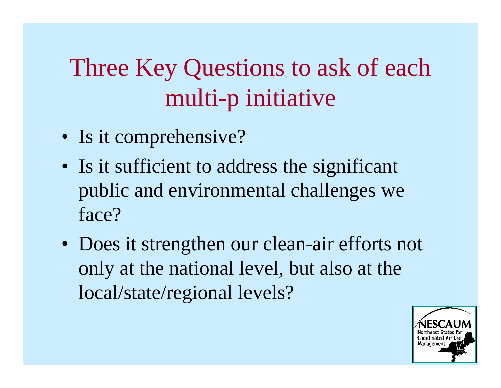# Three Key Questions to ask of each multi-p initiative

- Is it comprehensive?
- Is it sufficient to address the significant public and environmental challenges we face?
- Does it strengthen our clean-air efforts not only at the national level, but also at the local/state/regional levels?

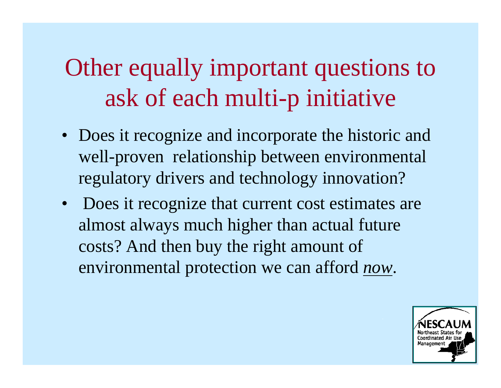# Other equally important questions to ask of each multi-p initiative

- Does it recognize and incorporate the historic and well-proven relationship between environmental regulatory drivers and technology innovation?
- Does it recognize that current cost estimates are almost always much higher than actual future costs? And then buy the right amount of environmental protection we can afford *now*.

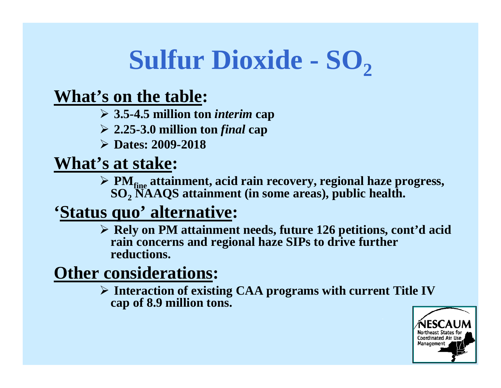#### **Sulfur Dioxide - SO 2**

### **What's on the table:**

¾ **3.5-4.5 million ton** *interim* **cap** 

¾ **2.25-3.0 million ton** *final* **cap** 

¾ **Dates: 2009-2018** 

**What's at stake:** 

¾ **PMfine attainment, acid rain recovery, regional haze progress, SO <sup>2</sup>NAAQS attainment (in some areas), public health.** 

### **'Status quo' alternative:**

¾ **Rely on PM attainment needs, future 126 petitions, cont'd acid rain concerns and regional haze SIPs to drive further reductions.** 

## **Other considerations:**

¾ **Interaction of existing CAA programs with current Title IV cap of 8.9 million tons.** 

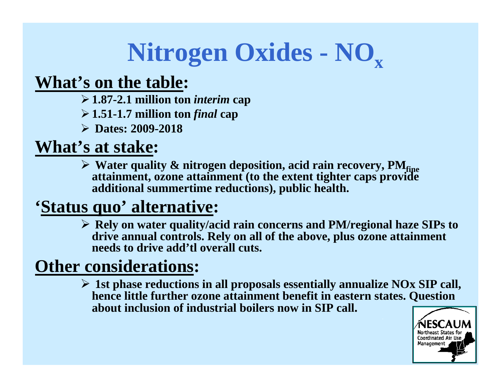# Nitrogen Oxides - NO<sub>x</sub>

### **What's on the table:**

- ¾**1.87-2.1 million ton** *interim* **cap**
- ¾**1.51-1.7 million ton** *final* **cap**
- ¾ **Dates: 2009-2018**

### **What's at stake:**

**► Water quality & nitrogen deposition, acid rain recovery, PM attainment, ozone attainment (to the extent tighter caps provide additional summertime reductions), public health.** 

### **'Status quo' alternative:**

¾ **Rely on water quality/acid rain concerns and PM/regional haze SIPs to drive annual controls. Rely on all of the above, plus ozone attainment needs to drive add'tl overall cuts.** 

## **Other considerations:**

¾ **1st phase reductions in all proposals essentially annualize NOx SIP call, hence little further ozone attainment benefit in eastern states. Question about inclusion of industrial boilers now in SIP call.** 

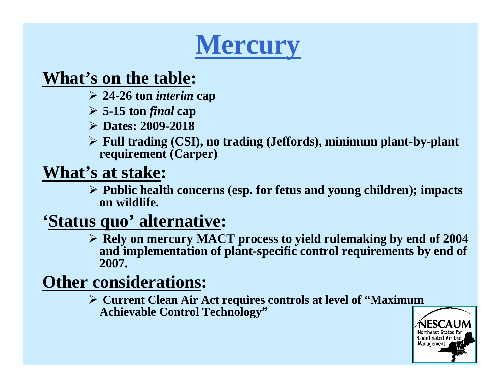# **Mercury**

### **What's on the table:**

- ¾ **24-26 ton** *interim* **cap**
- ¾ **5-15 ton** *final* **cap**
- ¾ **Dates: 2009-2018**
- ¾ **Full trading (CSI), no trading (Jeffords), minimum plant-by-plant requirement (Carper)**

## **What's at stake:**

¾ **Public health concerns (esp. for fetus and young children); impacts on wildlife.** 

## **'Status quo' alternative:**

¾ **Rely on mercury MACT process to yield rulemaking by end of 2004 and implementation of plant-specific control requirements by end of 2007.** 

### **Other considerations:**

¾ **Current Clean Air Act requires controls at level of "Maximum Achievable Control Technology"** 

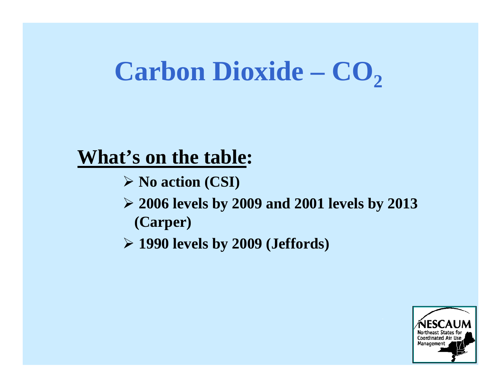#### **Carbon Dioxide – CO 2**

### **What's on the table:**

- ¾ **No action (CSI)**
- ¾ **2006 levels by 2009 and 2001 levels by 2013 (Carper)**
- ¾ **1990 levels by 2009 (Jeffords)**

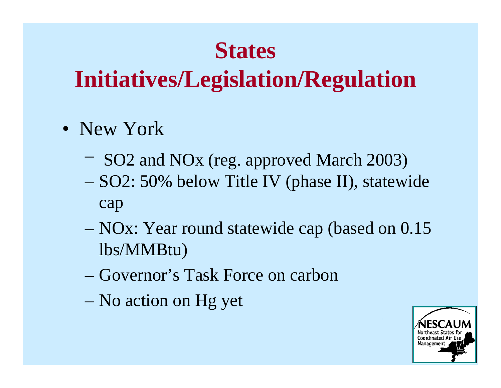# **States**

- New York
	- SO2 and NOx (reg. approved March 2003)
	- SO2: 50% below Title IV (phase II), statewide cap
	- NOx: Year round statewide cap (based on 0.15 lbs/MMBtu)
	- Governor's Task Force on carbon
	- No action on Hg yet

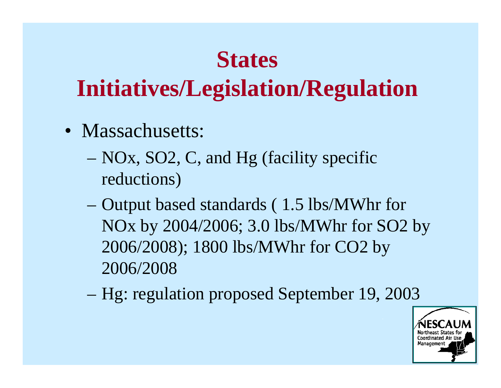# **States**

- Massachusetts:
	- NOx, SO2, C, and Hg (facility specific reductions)
	- Output based standards ( 1.5 lbs/MWhr for NOx by 2004/2006; 3.0 lbs/MWhr for SO2 by 2006/2008); 1800 lbs/MWhr for CO2 by 2006/2008
	- Hg: regulation proposed September 19, 2003

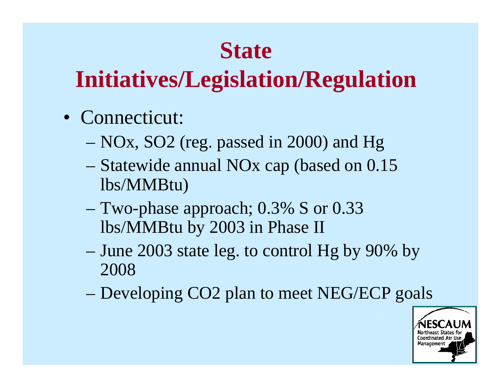# **State**

- Connecticut:
	- NOx, SO2 (reg. passed in 2000) and Hg
	- Statewide annual NOx cap (based on 0.15 lbs/MMBtu)
	- Two-phase approach; 0.3% S or 0.33 lbs/MMBtu by 2003 in Phase II
	- June 2003 state leg. to control Hg by 90% by 2008
	- Developing CO2 plan to meet NEG/ECP goals

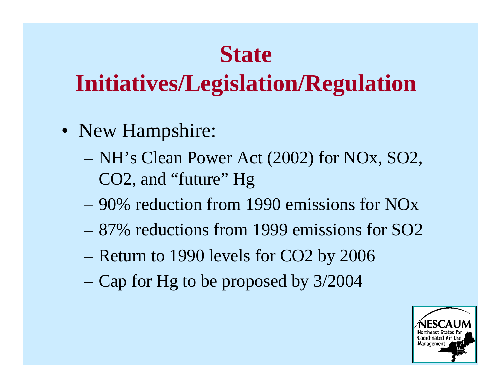## **State**

- New Hampshire:
	- NH's Clean Power Act (2002) for NOx, SO2, CO2, and "future" Hg
	- 90% reduction from 1990 emissions for NOx
	- 87% reductions from 1999 emissions for SO2
	- Return to 1990 levels for CO2 by 2006
	- Cap for Hg to be proposed by 3/2004

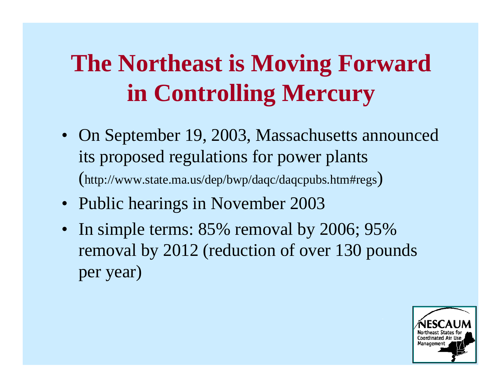# **The Northeast is Moving Forward in Controlling Mercury**

- On September 19, 2003, Massachusetts announced its proposed regulations for power plants (http://www.state.ma.us/dep/bwp/daqc/daqcpubs.htm#regs)
- Public hearings in November 2003
- In simple terms: 85% removal by 2006; 95% removal by 2012 (reduction of over 130 pounds per year)